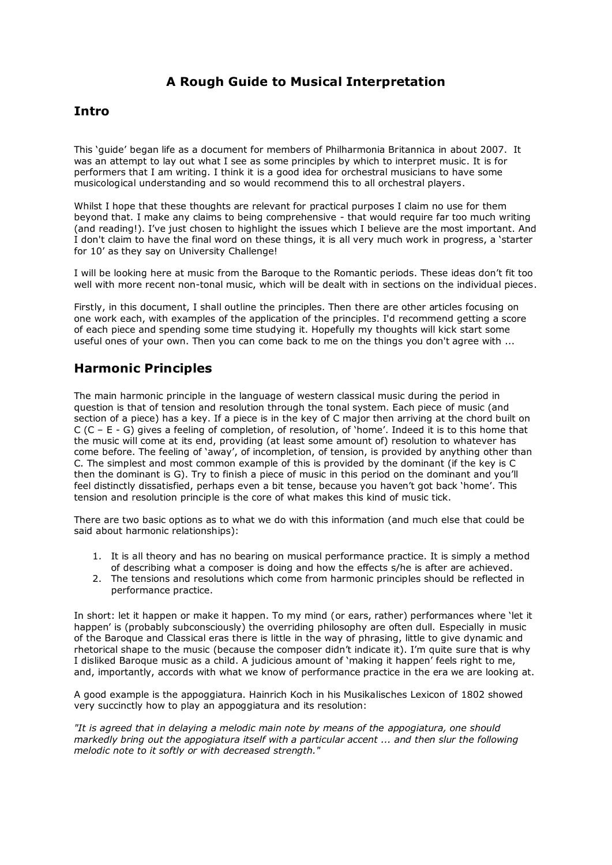# **A Rough Guide to Musical Interpretation**

## **Intro**

This 'guide' began life as a document for members of Philharmonia Britannica in about 2007. It was an attempt to lay out what I see as some principles by which to interpret music. It is for performers that I am writing. I think it is a good idea for orchestral musicians to have some musicological understanding and so would recommend this to all orchestral players.

Whilst I hope that these thoughts are relevant for practical purposes I claim no use for them beyond that. I make any claims to being comprehensive - that would require far too much writing (and reading!). I've just chosen to highlight the issues which I believe are the most important. And I don't claim to have the final word on these things, it is all very much work in progress, a 'starter for 10' as they say on University Challenge!

I will be looking here at music from the Baroque to the Romantic periods. These ideas don't fit too well with more recent non-tonal music, which will be dealt with in sections on the individual pieces.

Firstly, in this document, I shall outline the principles. Then there are other articles focusing on one work each, with examples of the application of the principles. I'd recommend getting a score of each piece and spending some time studying it. Hopefully my thoughts will kick start some useful ones of your own. Then you can come back to me on the things you don't agree with ...

# **Harmonic Principles**

The main harmonic principle in the language of western classical music during the period in question is that of tension and resolution through the tonal system. Each piece of music (and section of a piece) has a key. If a piece is in the key of C major then arriving at the chord built on C (C – E - G) gives a feeling of completion, of resolution, of 'home'. Indeed it is to this home that the music will come at its end, providing (at least some amount of) resolution to whatever has come before. The feeling of 'away', of incompletion, of tension, is provided by anything other than C. The simplest and most common example of this is provided by the dominant (if the key is C then the dominant is G). Try to finish a piece of music in this period on the dominant and you'll feel distinctly dissatisfied, perhaps even a bit tense, because you haven't got back 'home'. This tension and resolution principle is the core of what makes this kind of music tick.

There are two basic options as to what we do with this information (and much else that could be said about harmonic relationships):

- 1. It is all theory and has no bearing on musical performance practice. It is simply a method of describing what a composer is doing and how the effects s/he is after are achieved.
- 2. The tensions and resolutions which come from harmonic principles should be reflected in performance practice.

In short: let it happen or make it happen. To my mind (or ears, rather) performances where 'let it happen' is (probably subconsciously) the overriding philosophy are often dull. Especially in music of the Baroque and Classical eras there is little in the way of phrasing, little to give dynamic and rhetorical shape to the music (because the composer didn't indicate it). I'm quite sure that is why I disliked Baroque music as a child. A judicious amount of 'making it happen' feels right to me, and, importantly, accords with what we know of performance practice in the era we are looking at.

A good example is the appoggiatura. Hainrich Koch in his Musikalisches Lexicon of 1802 showed very succinctly how to play an appoggiatura and its resolution:

*"It is agreed that in delaying a melodic main note by means of the appogiatura, one should markedly bring out the appogiatura itself with a particular accent ... and then slur the following melodic note to it softly or with decreased strength."*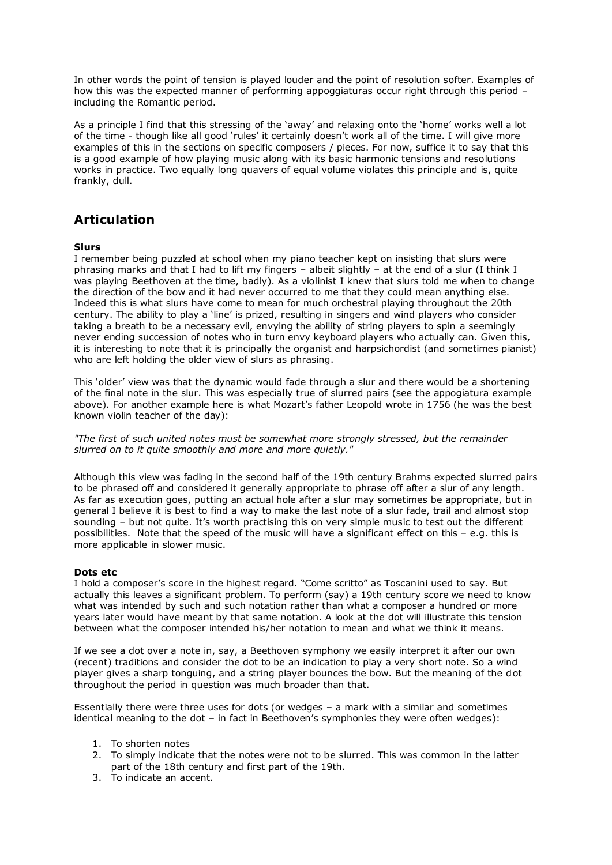In other words the point of tension is played louder and the point of resolution softer. Examples of how this was the expected manner of performing appoggiaturas occur right through this period – including the Romantic period.

As a principle I find that this stressing of the 'away' and relaxing onto the 'home' works well a lot of the time - though like all good 'rules' it certainly doesn't work all of the time. I will give more examples of this in the sections on specific composers / pieces. For now, suffice it to say that this is a good example of how playing music along with its basic harmonic tensions and resolutions works in practice. Two equally long quavers of equal volume violates this principle and is, quite frankly, dull.

## **Articulation**

#### **Slurs**

I remember being puzzled at school when my piano teacher kept on insisting that slurs were phrasing marks and that I had to lift my fingers – albeit slightly – at the end of a slur (I think I was playing Beethoven at the time, badly). As a violinist I knew that slurs told me when to change the direction of the bow and it had never occurred to me that they could mean anything else. Indeed this is what slurs have come to mean for much orchestral playing throughout the 20th century. The ability to play a 'line' is prized, resulting in singers and wind players who consider taking a breath to be a necessary evil, envying the ability of string players to spin a seemingly never ending succession of notes who in turn envy keyboard players who actually can. Given this, it is interesting to note that it is principally the organist and harpsichordist (and sometimes pianist) who are left holding the older view of slurs as phrasing.

This 'older' view was that the dynamic would fade through a slur and there would be a shortening of the final note in the slur. This was especially true of slurred pairs (see the appogiatura example above). For another example here is what Mozart's father Leopold wrote in 1756 (he was the best known violin teacher of the day):

*"The first of such united notes must be somewhat more strongly stressed, but the remainder slurred on to it quite smoothly and more and more quietly."*

Although this view was fading in the second half of the 19th century Brahms expected slurred pairs to be phrased off and considered it generally appropriate to phrase off after a slur of any length. As far as execution goes, putting an actual hole after a slur may sometimes be appropriate, but in general I believe it is best to find a way to make the last note of a slur fade, trail and almost stop sounding – but not quite. It's worth practising this on very simple music to test out the different possibilities. Note that the speed of the music will have a significant effect on this – e.g. this is more applicable in slower music.

#### **Dots etc**

I hold a composer's score in the highest regard. "Come scritto" as Toscanini used to say. But actually this leaves a significant problem. To perform (say) a 19th century score we need to know what was intended by such and such notation rather than what a composer a hundred or more years later would have meant by that same notation. A look at the dot will illustrate this tension between what the composer intended his/her notation to mean and what we think it means.

If we see a dot over a note in, say, a Beethoven symphony we easily interpret it after our own (recent) traditions and consider the dot to be an indication to play a very short note. So a wind player gives a sharp tonguing, and a string player bounces the bow. But the meaning of the dot throughout the period in question was much broader than that.

Essentially there were three uses for dots (or wedges – a mark with a similar and sometimes identical meaning to the dot – in fact in Beethoven's symphonies they were often wedges):

- 1. To shorten notes
- 2. To simply indicate that the notes were not to be slurred. This was common in the latter part of the 18th century and first part of the 19th.
- 3. To indicate an accent.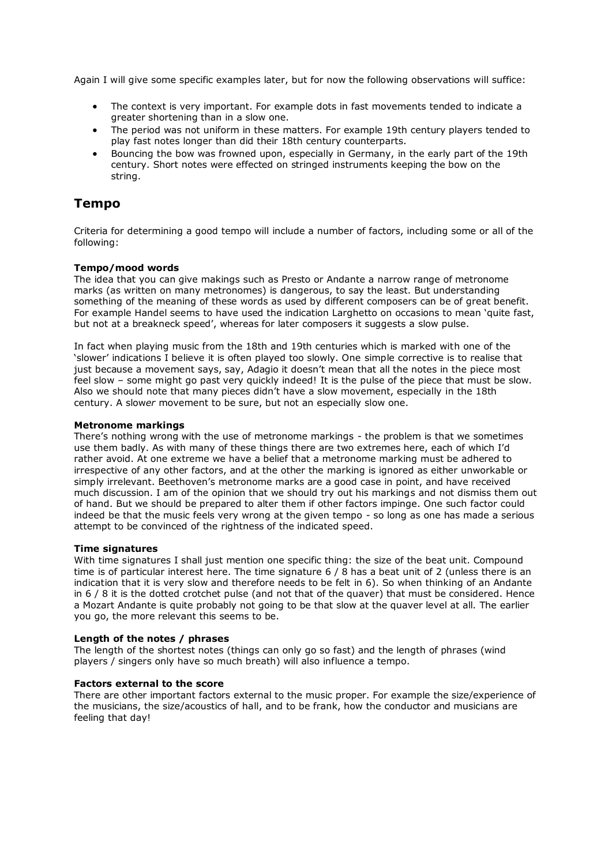Again I will give some specific examples later, but for now the following observations will suffice:

- The context is very important. For example dots in fast movements tended to indicate a greater shortening than in a slow one.
- The period was not uniform in these matters. For example 19th century players tended to play fast notes longer than did their 18th century counterparts.
- Bouncing the bow was frowned upon, especially in Germany, in the early part of the 19th century. Short notes were effected on stringed instruments keeping the bow on the string.

## **Tempo**

Criteria for determining a good tempo will include a number of factors, including some or all of the following:

#### **Tempo/mood words**

The idea that you can give makings such as Presto or Andante a narrow range of metronome marks (as written on many metronomes) is dangerous, to say the least. But understanding something of the meaning of these words as used by different composers can be of great benefit. For example Handel seems to have used the indication Larghetto on occasions to mean 'quite fast, but not at a breakneck speed', whereas for later composers it suggests a slow pulse.

In fact when playing music from the 18th and 19th centuries which is marked with one of the 'slower' indications I believe it is often played too slowly. One simple corrective is to realise that just because a movement says, say, Adagio it doesn't mean that all the notes in the piece most feel slow – some might go past very quickly indeed! It is the pulse of the piece that must be slow. Also we should note that many pieces didn't have a slow movement, especially in the 18th century. A slow*er* movement to be sure, but not an especially slow one.

#### **Metronome markings**

There's nothing wrong with the use of metronome markings - the problem is that we sometimes use them badly. As with many of these things there are two extremes here, each of which I'd rather avoid. At one extreme we have a belief that a metronome marking must be adhered to irrespective of any other factors, and at the other the marking is ignored as either unworkable or simply irrelevant. Beethoven's metronome marks are a good case in point, and have received much discussion. I am of the opinion that we should try out his markings and not dismiss them out of hand. But we should be prepared to alter them if other factors impinge. One such factor could indeed be that the music feels very wrong at the given tempo - so long as one has made a serious attempt to be convinced of the rightness of the indicated speed.

#### **Time signatures**

With time signatures I shall just mention one specific thing: the size of the beat unit. Compound time is of particular interest here. The time signature 6 / 8 has a beat unit of 2 (unless there is an indication that it is very slow and therefore needs to be felt in 6). So when thinking of an Andante in 6 / 8 it is the dotted crotchet pulse (and not that of the quaver) that must be considered. Hence a Mozart Andante is quite probably not going to be that slow at the quaver level at all. The earlier you go, the more relevant this seems to be.

#### **Length of the notes / phrases**

The length of the shortest notes (things can only go so fast) and the length of phrases (wind players / singers only have so much breath) will also influence a tempo.

#### **Factors external to the score**

There are other important factors external to the music proper. For example the size/experience of the musicians, the size/acoustics of hall, and to be frank, how the conductor and musicians are feeling that day!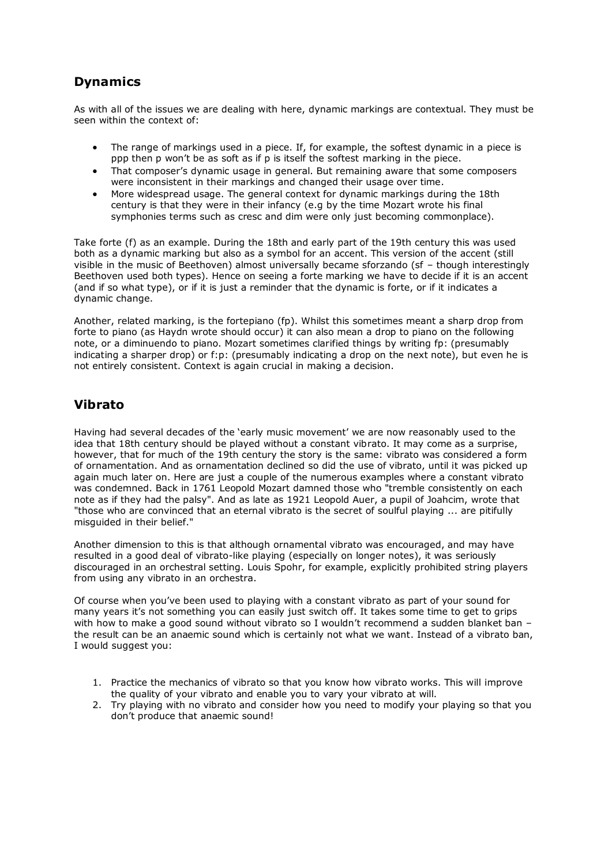# **Dynamics**

As with all of the issues we are dealing with here, dynamic markings are contextual. They must be seen within the context of:

- The range of markings used in a piece. If, for example, the softest dynamic in a piece is ppp then p won't be as soft as if p is itself the softest marking in the piece.
- That composer's dynamic usage in general. But remaining aware that some composers were inconsistent in their markings and changed their usage over time.
- More widespread usage. The general context for dynamic markings during the 18th century is that they were in their infancy (e.g by the time Mozart wrote his final symphonies terms such as cresc and dim were only just becoming commonplace).

Take forte (f) as an example. During the 18th and early part of the 19th century this was used both as a dynamic marking but also as a symbol for an accent. This version of the accent (still visible in the music of Beethoven) almost universally became sforzando (sf – though interestingly Beethoven used both types). Hence on seeing a forte marking we have to decide if it is an accent (and if so what type), or if it is just a reminder that the dynamic is forte, or if it indicates a dynamic change.

Another, related marking, is the fortepiano (fp). Whilst this sometimes meant a sharp drop from forte to piano (as Haydn wrote should occur) it can also mean a drop to piano on the following note, or a diminuendo to piano. Mozart sometimes clarified things by writing fp: (presumably indicating a sharper drop) or f:p: (presumably indicating a drop on the next note), but even he is not entirely consistent. Context is again crucial in making a decision.

## **Vibrato**

Having had several decades of the 'early music movement' we are now reasonably used to the idea that 18th century should be played without a constant vibrato. It may come as a surprise, however, that for much of the 19th century the story is the same: vibrato was considered a form of ornamentation. And as ornamentation declined so did the use of vibrato, until it was picked up again much later on. Here are just a couple of the numerous examples where a constant vibrato was condemned. Back in 1761 Leopold Mozart damned those who "tremble consistently on each note as if they had the palsy". And as late as 1921 Leopold Auer, a pupil of Joahcim, wrote that "those who are convinced that an eternal vibrato is the secret of soulful playing ... are pitifully misguided in their belief."

Another dimension to this is that although ornamental vibrato was encouraged, and may have resulted in a good deal of vibrato-like playing (especially on longer notes), it was seriously discouraged in an orchestral setting. Louis Spohr, for example, explicitly prohibited string players from using any vibrato in an orchestra.

Of course when you've been used to playing with a constant vibrato as part of your sound for many years it's not something you can easily just switch off. It takes some time to get to grips with how to make a good sound without vibrato so I wouldn't recommend a sudden blanket ban – the result can be an anaemic sound which is certainly not what we want. Instead of a vibrato ban, I would suggest you:

- 1. Practice the mechanics of vibrato so that you know how vibrato works. This will improve the quality of your vibrato and enable you to vary your vibrato at will.
- 2. Try playing with no vibrato and consider how you need to modify your playing so that you don't produce that anaemic sound!